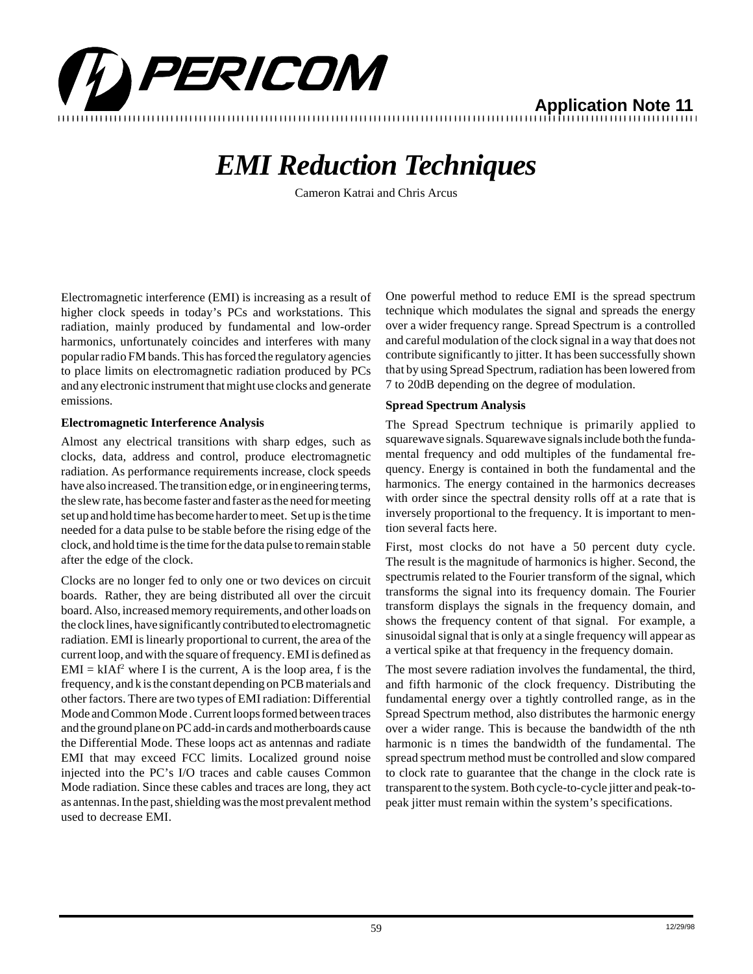

**Application Note 11** 1234567890123456789012345678901212345678901234567890123456789012123456789012345678901234567890121234567890123456789012345678901212345678 1234567890123456789012345678901212345678901234567890123456789012123456789012345678901234567890121234567890123456789012345678901212345678

## *EMI Reduction Techniques*

Cameron Katrai and Chris Arcus

Electromagnetic interference (EMI) is increasing as a result of higher clock speeds in today's PCs and workstations. This radiation, mainly produced by fundamental and low-order harmonics, unfortunately coincides and interferes with many popular radio FM bands. This has forced the regulatory agencies to place limits on electromagnetic radiation produced by PCs and any electronic instrument that might use clocks and generate emissions.

### **Electromagnetic Interference Analysis**

Almost any electrical transitions with sharp edges, such as clocks, data, address and control, produce electromagnetic radiation. As performance requirements increase, clock speeds have also increased. The transition edge, or in engineering terms, the slew rate, has become faster and faster as the need for meeting set up and hold time has become harder to meet. Set up is the time needed for a data pulse to be stable before the rising edge of the clock, and hold time is the time for the data pulse to remain stable after the edge of the clock.

Clocks are no longer fed to only one or two devices on circuit boards. Rather, they are being distributed all over the circuit board. Also, increased memory requirements, and other loads on the clock lines, have significantly contributed to electromagnetic radiation. EMI is linearly proportional to current, the area of the current loop, and with the square of frequency. EMI is defined as  $EMI = kIAf<sup>2</sup>$  where I is the current, A is the loop area, f is the frequency, and k is the constant depending on PCB materials and other factors. There are two types of EMI radiation: Differential Mode and Common Mode . Current loops formed between traces and the ground plane on PC add-in cards and motherboards cause the Differential Mode. These loops act as antennas and radiate EMI that may exceed FCC limits. Localized ground noise injected into the PC's I/O traces and cable causes Common Mode radiation. Since these cables and traces are long, they act as antennas. In the past, shielding was the most prevalent method used to decrease EMI.

One powerful method to reduce EMI is the spread spectrum technique which modulates the signal and spreads the energy over a wider frequency range. Spread Spectrum is a controlled and careful modulation of the clock signal in a way that does not contribute significantly to jitter. It has been successfully shown that by using Spread Spectrum, radiation has been lowered from 7 to 20dB depending on the degree of modulation.

### **Spread Spectrum Analysis**

The Spread Spectrum technique is primarily applied to squarewave signals. Squarewave signals include both the fundamental frequency and odd multiples of the fundamental frequency. Energy is contained in both the fundamental and the harmonics. The energy contained in the harmonics decreases with order since the spectral density rolls off at a rate that is inversely proportional to the frequency. It is important to mention several facts here.

First, most clocks do not have a 50 percent duty cycle. The result is the magnitude of harmonics is higher. Second, the spectrumis related to the Fourier transform of the signal, which transforms the signal into its frequency domain. The Fourier transform displays the signals in the frequency domain, and shows the frequency content of that signal. For example, a sinusoidal signal that is only at a single frequency will appear as a vertical spike at that frequency in the frequency domain.

The most severe radiation involves the fundamental, the third, and fifth harmonic of the clock frequency. Distributing the fundamental energy over a tightly controlled range, as in the Spread Spectrum method, also distributes the harmonic energy over a wider range. This is because the bandwidth of the nth harmonic is n times the bandwidth of the fundamental. The spread spectrum method must be controlled and slow compared to clock rate to guarantee that the change in the clock rate is transparent to the system. Both cycle-to-cycle jitter and peak-topeak jitter must remain within the system's specifications.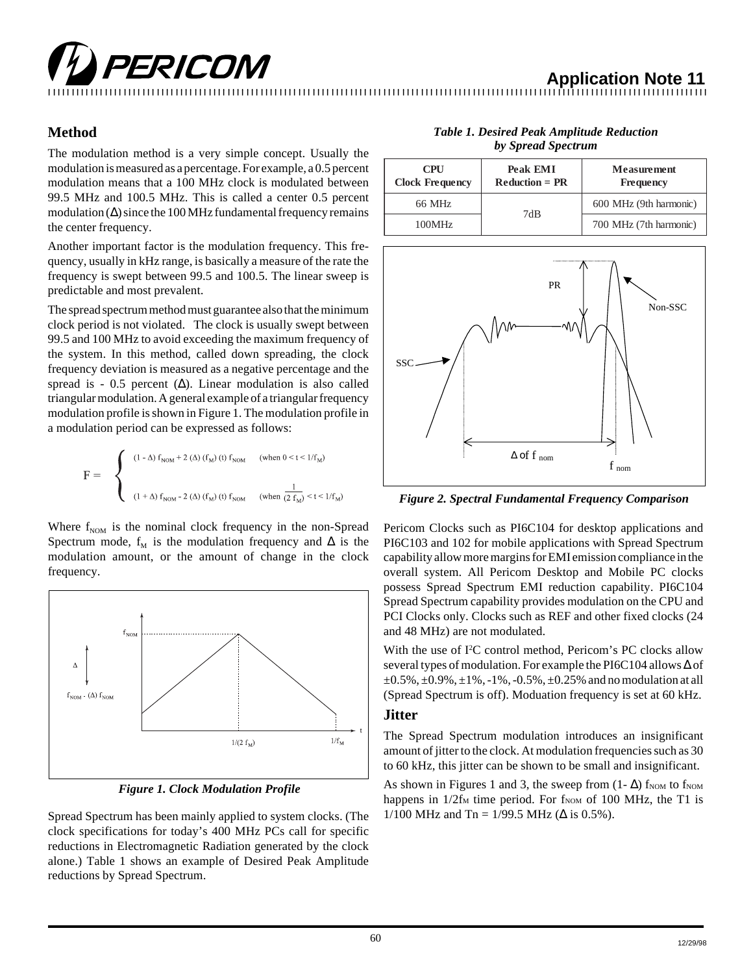## **PERICOM**<br>Application Note 11

12345678901234567890123456789012123456789012345678901234567890121234567890123456789012345678901212345678901234567890123456789012123456789012

### **Method**

The modulation method is a very simple concept. Usually the modulation is measured as a percentage. For example, a 0.5 percent modulation means that a 100 MHz clock is modulated between 99.5 MHz and 100.5 MHz. This is called a center 0.5 percent modulation  $(\Delta)$  since the 100 MHz fundamental frequency remains the center frequency.

Another important factor is the modulation frequency. This frequency, usually in kHz range, is basically a measure of the rate the frequency is swept between 99.5 and 100.5. The linear sweep is predictable and most prevalent.

The spread spectrum method must guarantee also that the minimum clock period is not violated. The clock is usually swept between 99.5 and 100 MHz to avoid exceeding the maximum frequency of the system. In this method, called down spreading, the clock frequency deviation is measured as a negative percentage and the spread is - 0.5 percent  $(\Delta)$ . Linear modulation is also called triangular modulation. A general example of a triangular frequency modulation profile is shown in Figure 1. The modulation profile in a modulation period can be expressed as follows:

$$
F = \begin{cases} (1 - \Delta) f_{NOM} + 2 (\Delta) (f_M) (t) f_{NOM} & (\text{when } 0 < t < 1/f_M) \\ 0 & (1 + \Delta) f_{NOM} - 2 (\Delta) (f_M) (t) f_{NOM} & (\text{when } (2 f_M) < t < 1/f_M) \end{cases}
$$

Where  $f_{NOM}$  is the nominal clock frequency in the non-Spread Spectrum mode,  $f_M$  is the modulation frequency and  $\Delta$  is the modulation amount, or the amount of change in the clock frequency.



*Figure 1. Clock Modulation Profile*

Spread Spectrum has been mainly applied to system clocks. (The clock specifications for today's 400 MHz PCs call for specific reductions in Electromagnetic Radiation generated by the clock alone.) Table 1 shows an example of Desired Peak Amplitude reductions by Spread Spectrum.

| vy oprvaa opven am                   |                              |                                 |
|--------------------------------------|------------------------------|---------------------------------|
| <b>CPU</b><br><b>Clock Frequency</b> | Peak EMI<br>$Reduction = PR$ | <b>Measurement</b><br>Frequency |
| 66 MHz                               | 7dB                          | 600 MHz (9th harmonic)          |
| 100MHz                               |                              | 700 MHz (7th harmonic)          |

*Table 1. Desired Peak Amplitude Reduction by Spread Spectrum*



*Figure 2. Spectral Fundamental Frequency Comparison*

Pericom Clocks such as PI6C104 for desktop applications and PI6C103 and 102 for mobile applications with Spread Spectrum capability allow more margins for EMI emission compliance in the overall system. All Pericom Desktop and Mobile PC clocks possess Spread Spectrum EMI reduction capability. PI6C104 Spread Spectrum capability provides modulation on the CPU and PCI Clocks only. Clocks such as REF and other fixed clocks (24 and 48 MHz) are not modulated.

With the use of I<sup>2</sup>C control method, Pericom's PC clocks allow several types of modulation. For example the PI6C104 allows ∆ of  $\pm 0.5\%$ ,  $\pm 0.9\%$ ,  $\pm 1\%$ ,  $-1\%$ ,  $-0.5\%$ ,  $\pm 0.25\%$  and no modulation at all (Spread Spectrum is off). Moduation frequency is set at 60 kHz.

### **Jitter**

The Spread Spectrum modulation introduces an insignificant amount of jitter to the clock. At modulation frequencies such as 30 to 60 kHz, this jitter can be shown to be small and insignificant.

As shown in Figures 1 and 3, the sweep from  $(1 - \Delta)$  f<sub>NOM</sub> to f<sub>NOM</sub> happens in  $1/2f_M$  time period. For  $f_{NOM}$  of 100 MHz, the T1 is 1/100 MHz and Tn = 1/99.5 MHz ( $\Delta$  is 0.5%).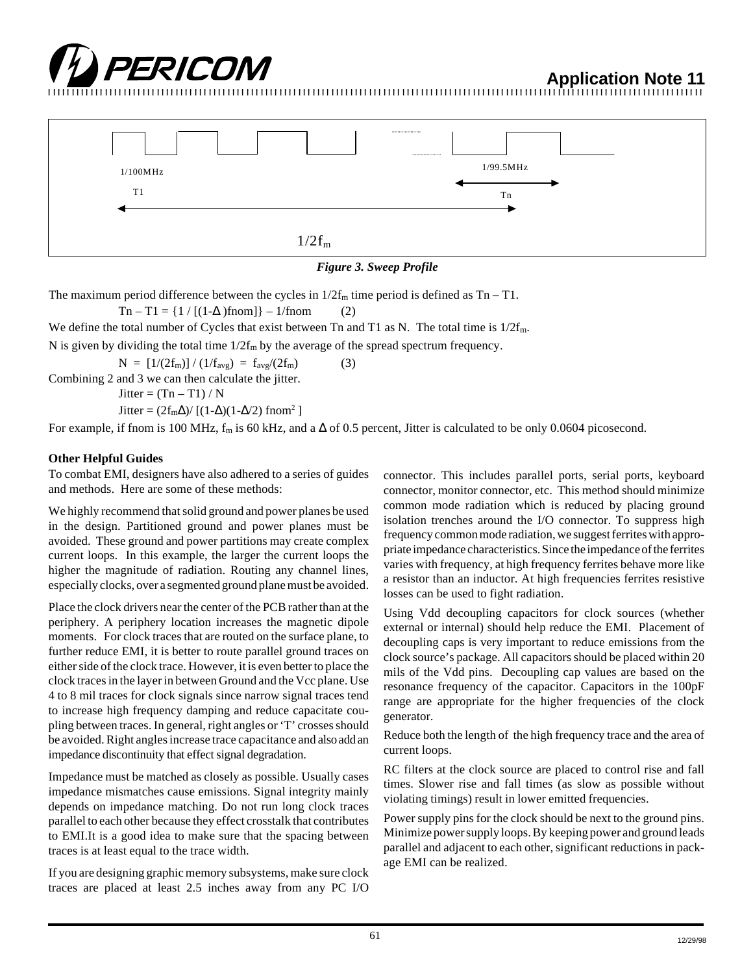

12345678901234567890123456789012123456789012345678901234567890121234567890123456789012345678901212345678901234567890123456789012123456789012



### *Figure 3. Sweep Profile*

The maximum period difference between the cycles in  $1/2f_m$  time period is defined as Tn – T1.

 $Tn - T1 = \{1 / [(1-\Delta) \text{from}]\} - 1/\text{from}$  (2)

We define the total number of Cycles that exist between Tn and T1 as N. The total time is  $1/2f_m$ .

N is given by dividing the total time  $1/2f_m$  by the average of the spread spectrum frequency.

 $N = [1/(2f<sub>m</sub>)] / (1/f<sub>avg</sub>) = f<sub>avg</sub>/(2f<sub>m</sub>)$  (3) Combining 2 and 3 we can then calculate the jitter. Jitter =  $(Tn - T1) / N$ Jitter =  $(2f_m\Delta)/[(1-\Delta)(1-\Delta/2)$  fnom<sup>2</sup>]

For example, if fnom is 100 MHz,  $f_m$  is 60 kHz, and a  $\Delta$  of 0.5 percent, Jitter is calculated to be only 0.0604 picosecond.

### **Other Helpful Guides**

To combat EMI, designers have also adhered to a series of guides and methods. Here are some of these methods:

We highly recommend that solid ground and power planes be used in the design. Partitioned ground and power planes must be avoided. These ground and power partitions may create complex current loops. In this example, the larger the current loops the higher the magnitude of radiation. Routing any channel lines, especially clocks, over a segmented ground plane must be avoided.

Place the clock drivers near the center of the PCB rather than at the periphery. A periphery location increases the magnetic dipole moments. For clock traces that are routed on the surface plane, to further reduce EMI, it is better to route parallel ground traces on either side of the clock trace. However, it is even better to place the clock traces in the layer in between Ground and the Vcc plane. Use 4 to 8 mil traces for clock signals since narrow signal traces tend to increase high frequency damping and reduce capacitate coupling between traces. In general, right angles or 'T' crosses should be avoided. Right angles increase trace capacitance and also add an impedance discontinuity that effect signal degradation.

Impedance must be matched as closely as possible. Usually cases impedance mismatches cause emissions. Signal integrity mainly depends on impedance matching. Do not run long clock traces parallel to each other because they effect crosstalk that contributes to EMI.It is a good idea to make sure that the spacing between traces is at least equal to the trace width.

If you are designing graphic memory subsystems, make sure clock traces are placed at least 2.5 inches away from any PC I/O connector. This includes parallel ports, serial ports, keyboard connector, monitor connector, etc. This method should minimize common mode radiation which is reduced by placing ground isolation trenches around the I/O connector. To suppress high frequency common mode radiation, we suggest ferrites with appropriate impedance characteristics. Since the impedance of the ferrites varies with frequency, at high frequency ferrites behave more like a resistor than an inductor. At high frequencies ferrites resistive losses can be used to fight radiation.

Using Vdd decoupling capacitors for clock sources (whether external or internal) should help reduce the EMI. Placement of decoupling caps is very important to reduce emissions from the clock source's package. All capacitors should be placed within 20 mils of the Vdd pins. Decoupling cap values are based on the resonance frequency of the capacitor. Capacitors in the 100pF range are appropriate for the higher frequencies of the clock generator.

Reduce both the length of the high frequency trace and the area of current loops.

RC filters at the clock source are placed to control rise and fall times. Slower rise and fall times (as slow as possible without violating timings) result in lower emitted frequencies.

Power supply pins for the clock should be next to the ground pins. Minimize power supply loops. By keeping power and ground leads parallel and adjacent to each other, significant reductions in package EMI can be realized.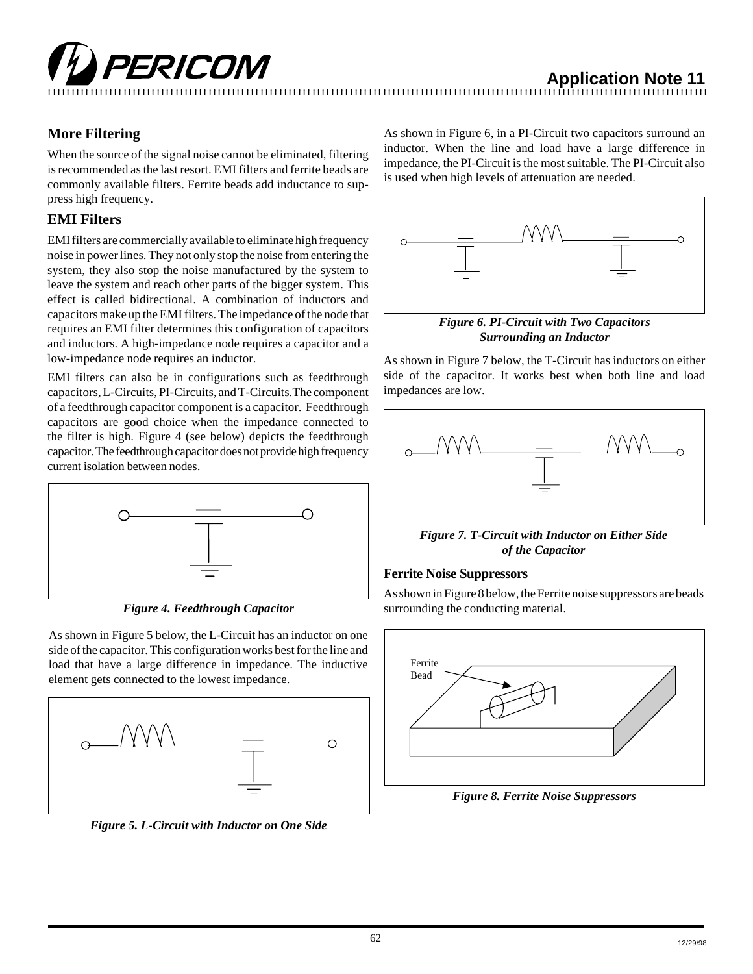# **TEXTED IVI** Application Note 11

### **More Filtering**

When the source of the signal noise cannot be eliminated, filtering is recommended as the last resort. EMI filters and ferrite beads are commonly available filters. Ferrite beads add inductance to suppress high frequency.

### **EMI Filters**

EMI filters are commercially available to eliminate high frequency noise in power lines. They not only stop the noise from entering the system, they also stop the noise manufactured by the system to leave the system and reach other parts of the bigger system. This effect is called bidirectional. A combination of inductors and capacitors make up the EMI filters. The impedance of the node that requires an EMI filter determines this configuration of capacitors and inductors. A high-impedance node requires a capacitor and a low-impedance node requires an inductor.

EMI filters can also be in configurations such as feedthrough capacitors, L-Circuits, PI-Circuits, and T-Circuits.The component of a feedthrough capacitor component is a capacitor. Feedthrough capacitors are good choice when the impedance connected to the filter is high. Figure 4 (see below) depicts the feedthrough capacitor. The feedthrough capacitor does not provide high frequency current isolation between nodes.



*Figure 4. Feedthrough Capacitor*

As shown in Figure 5 below, the L-Circuit has an inductor on one side of the capacitor. This configuration works best for the line and load that have a large difference in impedance. The inductive element gets connected to the lowest impedance.



*Figure 5. L-Circuit with Inductor on One Side*

As shown in Figure 6, in a PI-Circuit two capacitors surround an inductor. When the line and load have a large difference in impedance, the PI-Circuit is the most suitable. The PI-Circuit also is used when high levels of attenuation are needed.



*Figure 6. PI-Circuit with Two Capacitors Surrounding an Inductor*

As shown in Figure 7 below, the T-Circuit has inductors on either side of the capacitor. It works best when both line and load impedances are low.



*Figure 7. T-Circuit with Inductor on Either Side of the Capacitor*

### **Ferrite Noise Suppressors**

As shown in Figure 8 below, the Ferrite noise suppressors are beads surrounding the conducting material.



*Figure 8. Ferrite Noise Suppressors*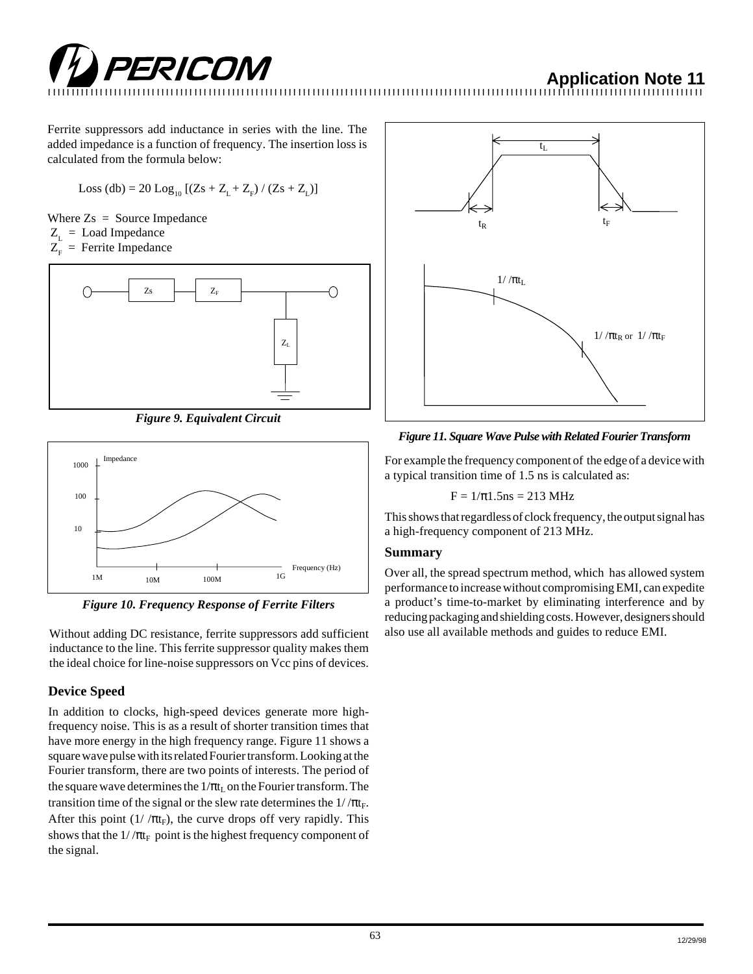

12345678901234567890123456789012123456789012345678901234567890121234567890123456789012345678901212345678901234567890123456789012123456789012

Ferrite suppressors add inductance in series with the line. The added impedance is a function of frequency. The insertion loss is calculated from the formula below:

 Loss (db) = 20 Log10 [(Zs + ZL + ZF ) / (Zs + ZL)]

Where  $Z_s$  = Source Impedance  $Z_{\text{r}} =$  Load Impedance  $Z_F$  = Ferrite Impedance



*Figure 9. Equivalent Circuit*



*Figure 10. Frequency Response of Ferrite Filters*

Without adding DC resistance, ferrite suppressors add sufficient inductance to the line. This ferrite suppressor quality makes them the ideal choice for line-noise suppressors on Vcc pins of devices.

### **Device Speed**

In addition to clocks, high-speed devices generate more highfrequency noise. This is as a result of shorter transition times that have more energy in the high frequency range. Figure 11 shows a square wave pulse with its related Fourier transform. Looking at the Fourier transform, there are two points of interests. The period of the square wave determines the  $1/\pi t_L$  on the Fourier transform. The transition time of the signal or the slew rate determines the  $1/\pi t_F$ . After this point  $(1/\pi t_F)$ , the curve drops off very rapidly. This shows that the  $1/\pi t_F$  point is the highest frequency component of the signal.



*Figure 11. Square Wave Pulse with Related Fourier Transform*

For example the frequency component of the edge of a device with a typical transition time of 1.5 ns is calculated as:

$$
F=1/\pi1.5ns=213~MHz
$$

This shows that regardless of clock frequency, the output signal has a high-frequency component of 213 MHz.

### **Summary**

Over all, the spread spectrum method, which has allowed system performance to increase without compromising EMI, can expedite a product's time-to-market by eliminating interference and by reducing packaging and shielding costs. However, designers should also use all available methods and guides to reduce EMI.